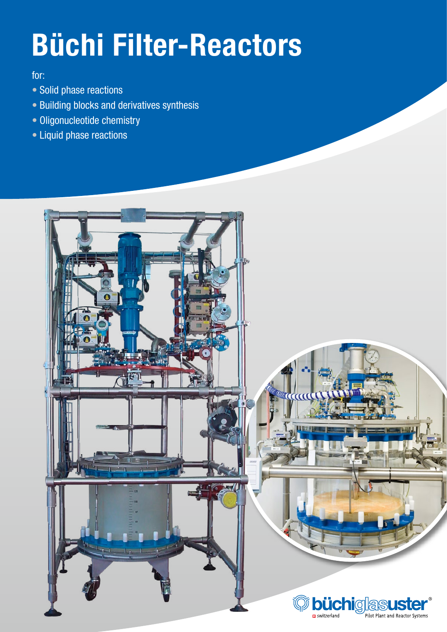# Büchi Filter-Reactors

### for:

- Solid phase reactions
- Building blocks and derivatives synthesis
- Oligonucleotide chemistry
- Liquid phase reactions